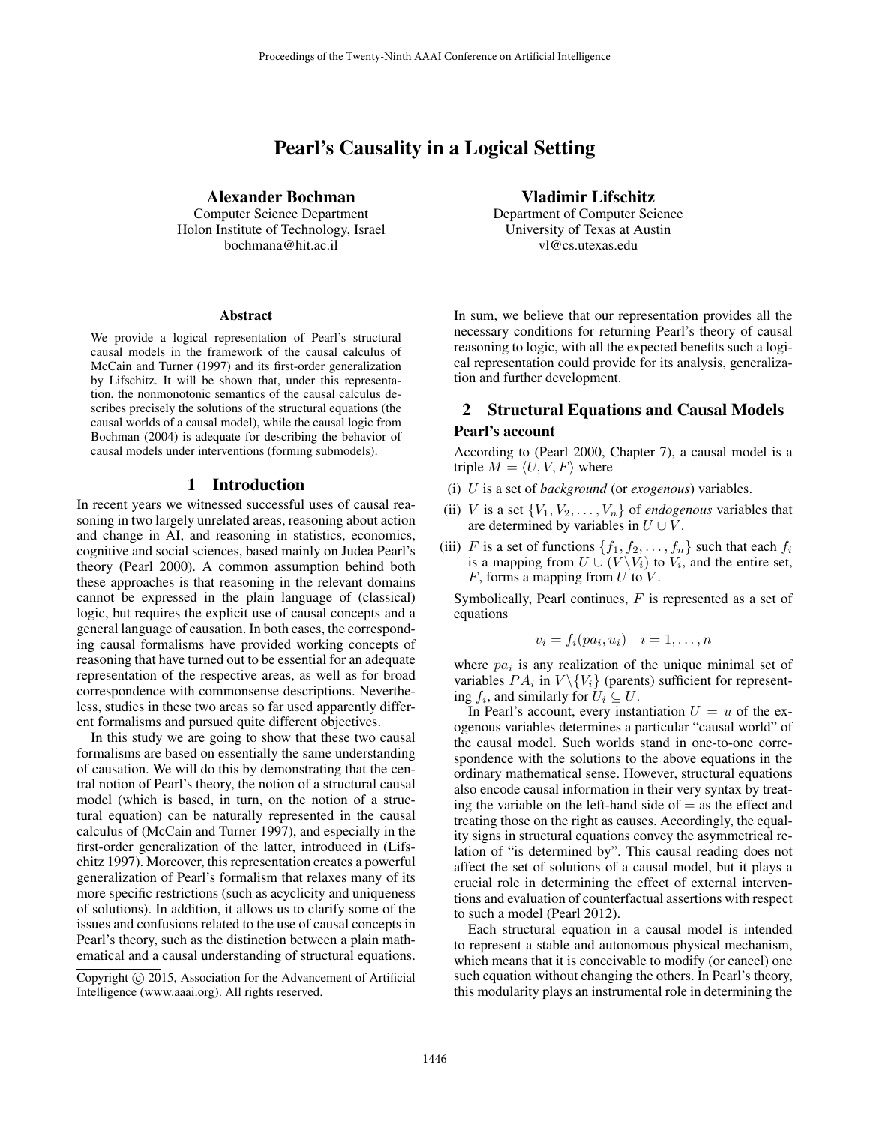# Pearl's Causality in a Logical Setting

Alexander Bochman

Computer Science Department Holon Institute of Technology, Israel bochmana@hit.ac.il

#### Abstract

We provide a logical representation of Pearl's structural causal models in the framework of the causal calculus of McCain and Turner (1997) and its first-order generalization by Lifschitz. It will be shown that, under this representation, the nonmonotonic semantics of the causal calculus describes precisely the solutions of the structural equations (the causal worlds of a causal model), while the causal logic from Bochman (2004) is adequate for describing the behavior of causal models under interventions (forming submodels).

#### 1 Introduction

In recent years we witnessed successful uses of causal reasoning in two largely unrelated areas, reasoning about action and change in AI, and reasoning in statistics, economics, cognitive and social sciences, based mainly on Judea Pearl's theory (Pearl 2000). A common assumption behind both these approaches is that reasoning in the relevant domains cannot be expressed in the plain language of (classical) logic, but requires the explicit use of causal concepts and a general language of causation. In both cases, the corresponding causal formalisms have provided working concepts of reasoning that have turned out to be essential for an adequate representation of the respective areas, as well as for broad correspondence with commonsense descriptions. Nevertheless, studies in these two areas so far used apparently different formalisms and pursued quite different objectives.

In this study we are going to show that these two causal formalisms are based on essentially the same understanding of causation. We will do this by demonstrating that the central notion of Pearl's theory, the notion of a structural causal model (which is based, in turn, on the notion of a structural equation) can be naturally represented in the causal calculus of (McCain and Turner 1997), and especially in the first-order generalization of the latter, introduced in (Lifschitz 1997). Moreover, this representation creates a powerful generalization of Pearl's formalism that relaxes many of its more specific restrictions (such as acyclicity and uniqueness of solutions). In addition, it allows us to clarify some of the issues and confusions related to the use of causal concepts in Pearl's theory, such as the distinction between a plain mathematical and a causal understanding of structural equations.

Vladimir Lifschitz Department of Computer Science University of Texas at Austin vl@cs.utexas.edu

In sum, we believe that our representation provides all the necessary conditions for returning Pearl's theory of causal reasoning to logic, with all the expected benefits such a logical representation could provide for its analysis, generalization and further development.

# 2 Structural Equations and Causal Models Pearl's account

According to (Pearl 2000, Chapter 7), a causal model is a triple  $M = \langle U, V, F \rangle$  where

- (i) U is a set of *background* (or *exogenous*) variables.
- (ii) V is a set  $\{V_1, V_2, \ldots, V_n\}$  of *endogenous* variables that are determined by variables in  $U \cup V$ .
- (iii) F is a set of functions  $\{f_1, f_2, \ldots, f_n\}$  such that each  $f_i$ is a mapping from  $U \cup (V \backslash V_i)$  to  $V_i$ , and the entire set,  $F$ , forms a mapping from  $U$  to  $V$ .

Symbolically, Pearl continues,  $F$  is represented as a set of equations

$$
v_i = f_i(pa_i, u_i) \quad i = 1, \dots, n
$$

where  $pa_i$  is any realization of the unique minimal set of variables  $PA_i$  in  $V \setminus \{V_i\}$  (parents) sufficient for representing  $f_i$ , and similarly for  $U_i \subseteq U$ .

In Pearl's account, every instantiation  $U = u$  of the exogenous variables determines a particular "causal world" of the causal model. Such worlds stand in one-to-one correspondence with the solutions to the above equations in the ordinary mathematical sense. However, structural equations also encode causal information in their very syntax by treating the variable on the left-hand side of  $=$  as the effect and treating those on the right as causes. Accordingly, the equality signs in structural equations convey the asymmetrical relation of "is determined by". This causal reading does not affect the set of solutions of a causal model, but it plays a crucial role in determining the effect of external interventions and evaluation of counterfactual assertions with respect to such a model (Pearl 2012).

Each structural equation in a causal model is intended to represent a stable and autonomous physical mechanism, which means that it is conceivable to modify (or cancel) one such equation without changing the others. In Pearl's theory, this modularity plays an instrumental role in determining the

Copyright  $\odot$  2015, Association for the Advancement of Artificial Intelligence (www.aaai.org). All rights reserved.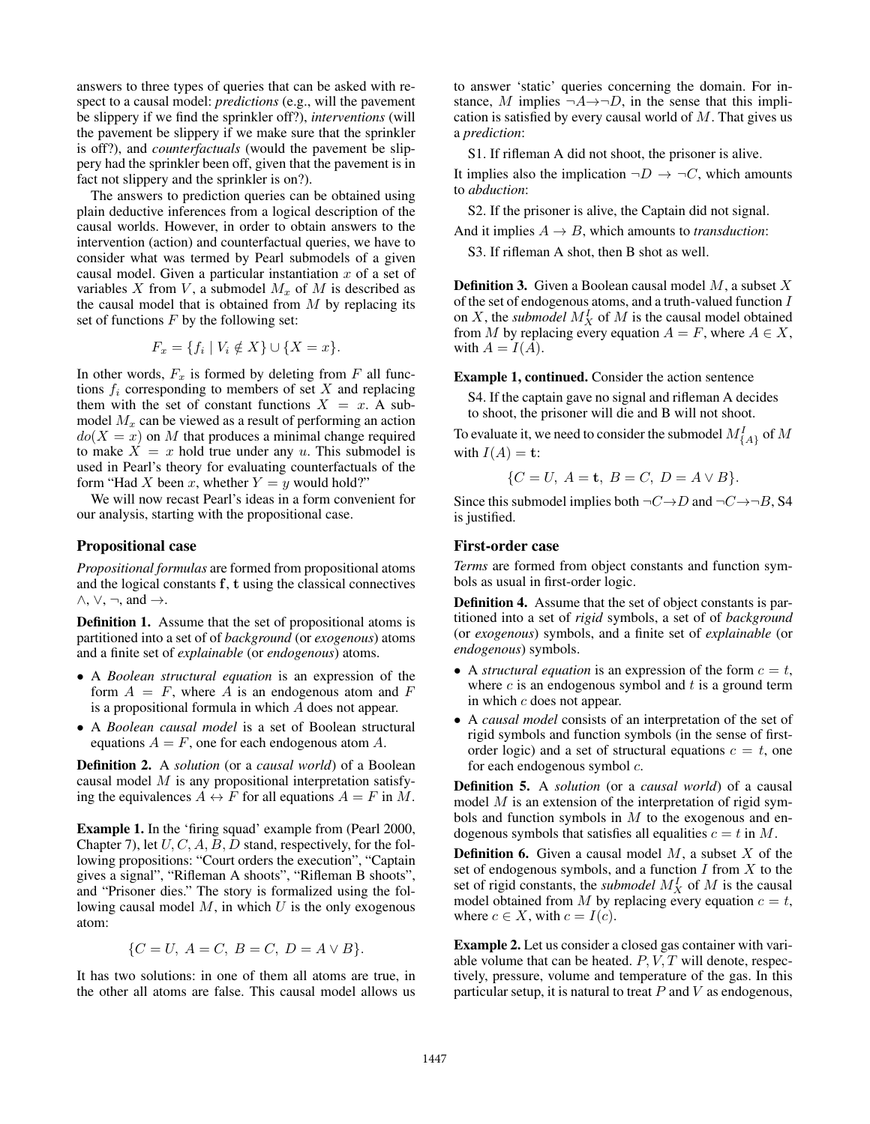answers to three types of queries that can be asked with respect to a causal model: *predictions* (e.g., will the pavement be slippery if we find the sprinkler off?), *interventions* (will the pavement be slippery if we make sure that the sprinkler is off?), and *counterfactuals* (would the pavement be slippery had the sprinkler been off, given that the pavement is in fact not slippery and the sprinkler is on?).

The answers to prediction queries can be obtained using plain deductive inferences from a logical description of the causal worlds. However, in order to obtain answers to the intervention (action) and counterfactual queries, we have to consider what was termed by Pearl submodels of a given causal model. Given a particular instantiation  $x$  of a set of variables X from V, a submodel  $M_x$  of M is described as the causal model that is obtained from  $M$  by replacing its set of functions  $F$  by the following set:

$$
F_x = \{ f_i \mid V_i \notin X \} \cup \{ X = x \}.
$$

In other words,  $F_x$  is formed by deleting from F all functions  $f_i$  corresponding to members of set  $X$  and replacing them with the set of constant functions  $X = x$ . A submodel  $M_x$  can be viewed as a result of performing an action  $do(X = x)$  on M that produces a minimal change required to make  $X = x$  hold true under any u. This submodel is used in Pearl's theory for evaluating counterfactuals of the form "Had X been x, whether  $Y = y$  would hold?"

We will now recast Pearl's ideas in a form convenient for our analysis, starting with the propositional case.

# Propositional case

*Propositional formulas* are formed from propositional atoms and the logical constants f, t using the classical connectives  $\wedge$ ,  $\vee$ ,  $\neg$ , and  $\rightarrow$ .

Definition 1. Assume that the set of propositional atoms is partitioned into a set of of *background* (or *exogenous*) atoms and a finite set of *explainable* (or *endogenous*) atoms.

- A *Boolean structural equation* is an expression of the form  $A = F$ , where A is an endogenous atom and F is a propositional formula in which A does not appear.
- A *Boolean causal model* is a set of Boolean structural equations  $A = F$ , one for each endogenous atom A.

Definition 2. A *solution* (or a *causal world*) of a Boolean causal model  $M$  is any propositional interpretation satisfying the equivalences  $A \leftrightarrow F$  for all equations  $A = F$  in M.

Example 1. In the 'firing squad' example from (Pearl 2000, Chapter 7), let  $U, C, A, B, D$  stand, respectively, for the following propositions: "Court orders the execution", "Captain gives a signal", "Rifleman A shoots", "Rifleman B shoots", and "Prisoner dies." The story is formalized using the following causal model  $M$ , in which  $U$  is the only exogenous atom:

$$
\{C = U, A = C, B = C, D = A \vee B\}.
$$

It has two solutions: in one of them all atoms are true, in the other all atoms are false. This causal model allows us

to answer 'static' queries concerning the domain. For instance, M implies  $\neg A \rightarrow \neg D$ , in the sense that this implication is satisfied by every causal world of  $M$ . That gives us a *prediction*:

S1. If rifleman A did not shoot, the prisoner is alive.

It implies also the implication  $\neg D \rightarrow \neg C$ , which amounts to *abduction*:

S2. If the prisoner is alive, the Captain did not signal.

And it implies  $A \rightarrow B$ , which amounts to *transduction*:

S3. If rifleman A shot, then B shot as well.

**Definition 3.** Given a Boolean causal model  $M$ , a subset  $X$ of the set of endogenous atoms, and a truth-valued function I on X, the *submodel*  $M_X^I$  of M is the causal model obtained from M by replacing every equation  $A = F$ , where  $A \in X$ , with  $A = I(A)$ .

Example 1, continued. Consider the action sentence

S4. If the captain gave no signal and rifleman A decides to shoot, the prisoner will die and B will not shoot.

To evaluate it, we need to consider the submodel  $M_{\{A\}}^I$  of  $M$ with  $I(A) = \mathbf{t}$ :

 ${C = U, A = t, B = C, D = A \vee B}.$ 

Since this submodel implies both  $\neg C \rightarrow D$  and  $\neg C \rightarrow \neg B$ , S4 is justified.

# First-order case

*Terms* are formed from object constants and function symbols as usual in first-order logic.

Definition 4. Assume that the set of object constants is partitioned into a set of *rigid* symbols, a set of of *background* (or *exogenous*) symbols, and a finite set of *explainable* (or *endogenous*) symbols.

- A *structural equation* is an expression of the form  $c = t$ , where  $c$  is an endogenous symbol and  $t$  is a ground term in which c does not appear.
- A *causal model* consists of an interpretation of the set of rigid symbols and function symbols (in the sense of firstorder logic) and a set of structural equations  $c = t$ , one for each endogenous symbol c.

Definition 5. A *solution* (or a *causal world*) of a causal model  $M$  is an extension of the interpretation of rigid symbols and function symbols in  $M$  to the exogenous and endogenous symbols that satisfies all equalities  $c = t$  in M.

**Definition 6.** Given a causal model  $M$ , a subset  $X$  of the set of endogenous symbols, and a function  $I$  from  $X$  to the set of rigid constants, the *submodel*  $M_X^I$  of  $M$  is the causal model obtained from M by replacing every equation  $c = t$ , where  $c \in X$ , with  $c = I(c)$ .

Example 2. Let us consider a closed gas container with variable volume that can be heated.  $P, V, T$  will denote, respectively, pressure, volume and temperature of the gas. In this particular setup, it is natural to treat  $P$  and  $V$  as endogenous,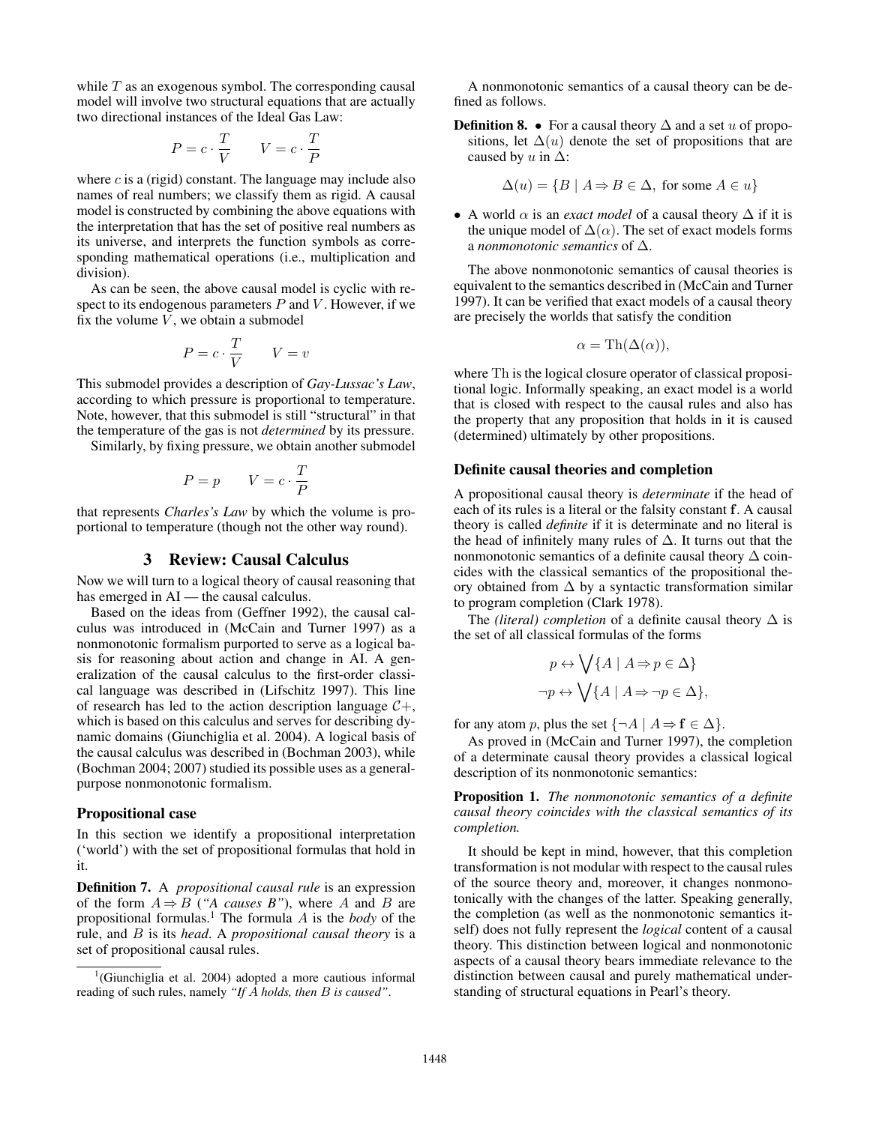while  $T$  as an exogenous symbol. The corresponding causal model will involve two structural equations that are actually two directional instances of the Ideal Gas Law:

$$
P = c \cdot \frac{T}{V} \qquad V = c \cdot \frac{T}{P}
$$

where  $c$  is a (rigid) constant. The language may include also names of real numbers; we classify them as rigid. A causal model is constructed by combining the above equations with the interpretation that has the set of positive real numbers as its universe, and interprets the function symbols as corresponding mathematical operations (i.e., multiplication and division).

As can be seen, the above causal model is cyclic with respect to its endogenous parameters  $P$  and  $V$ . However, if we fix the volume  $V$ , we obtain a submodel

$$
P = c \cdot \frac{T}{V} \qquad V = v
$$

This submodel provides a description of *Gay-Lussac's Law*, according to which pressure is proportional to temperature. Note, however, that this submodel is still "structural" in that the temperature of the gas is not *determined* by its pressure.

Similarly, by fixing pressure, we obtain another submodel

$$
P = p \qquad V = c \cdot \frac{T}{P}
$$

that represents *Charles's Law* by which the volume is proportional to temperature (though not the other way round).

### 3 Review: Causal Calculus

Now we will turn to a logical theory of causal reasoning that has emerged in  $AI$  — the causal calculus.

Based on the ideas from (Geffner 1992), the causal calculus was introduced in (McCain and Turner 1997) as a nonmonotonic formalism purported to serve as a logical basis for reasoning about action and change in AI. A generalization of the causal calculus to the first-order classical language was described in (Lifschitz 1997). This line of research has led to the action description language  $C_{+}$ , which is based on this calculus and serves for describing dynamic domains (Giunchiglia et al. 2004). A logical basis of the causal calculus was described in (Bochman 2003), while (Bochman 2004; 2007) studied its possible uses as a generalpurpose nonmonotonic formalism.

# Propositional case

In this section we identify a propositional interpretation ('world') with the set of propositional formulas that hold in it.

Definition 7. A *propositional causal rule* is an expression of the form  $A \Rightarrow B$  (*"A causes B"*), where A and B are propositional formulas.<sup>1</sup> The formula A is the *body* of the rule, and B is its *head*. A *propositional causal theory* is a set of propositional causal rules.

A nonmonotonic semantics of a causal theory can be defined as follows.

**Definition 8. •** For a causal theory  $\Delta$  and a set u of propositions, let  $\Delta(u)$  denote the set of propositions that are caused by  $u$  in  $\Delta$ :

$$
\Delta(u) = \{ B \mid A \Rightarrow B \in \Delta, \text{ for some } A \in u \}
$$

• A world  $\alpha$  is an *exact model* of a causal theory  $\Delta$  if it is the unique model of  $\Delta(\alpha)$ . The set of exact models forms a *nonmonotonic semantics* of ∆.

The above nonmonotonic semantics of causal theories is equivalent to the semantics described in (McCain and Turner 1997). It can be verified that exact models of a causal theory are precisely the worlds that satisfy the condition

$$
\alpha = \text{Th}(\Delta(\alpha)),
$$

where Th is the logical closure operator of classical propositional logic. Informally speaking, an exact model is a world that is closed with respect to the causal rules and also has the property that any proposition that holds in it is caused (determined) ultimately by other propositions.

# Definite causal theories and completion

A propositional causal theory is *determinate* if the head of each of its rules is a literal or the falsity constant f. A causal theory is called *definite* if it is determinate and no literal is the head of infinitely many rules of  $\Delta$ . It turns out that the nonmonotonic semantics of a definite causal theory  $\Delta$  coincides with the classical semantics of the propositional theory obtained from  $\Delta$  by a syntactic transformation similar to program completion (Clark 1978).

The *(literal) completion* of a definite causal theory  $\Delta$  is the set of all classical formulas of the forms

$$
p \leftrightarrow \bigvee \{ A \mid A \Rightarrow p \in \Delta \}
$$
  
\n
$$
\neg p \leftrightarrow \bigvee \{ A \mid A \Rightarrow \neg p \in \Delta \},
$$

for any atom p, plus the set  $\{\neg A \mid A \Rightarrow \mathbf{f} \in \Delta\}$ .

As proved in (McCain and Turner 1997), the completion of a determinate causal theory provides a classical logical description of its nonmonotonic semantics:

Proposition 1. *The nonmonotonic semantics of a definite causal theory coincides with the classical semantics of its completion.*

It should be kept in mind, however, that this completion transformation is not modular with respect to the causal rules of the source theory and, moreover, it changes nonmonotonically with the changes of the latter. Speaking generally, the completion (as well as the nonmonotonic semantics itself) does not fully represent the *logical* content of a causal theory. This distinction between logical and nonmonotonic aspects of a causal theory bears immediate relevance to the distinction between causal and purely mathematical understanding of structural equations in Pearl's theory.

<sup>&</sup>lt;sup>1</sup>(Giunchiglia et al. 2004) adopted a more cautious informal reading of such rules, namely *"If* A *holds, then* B *is caused"*.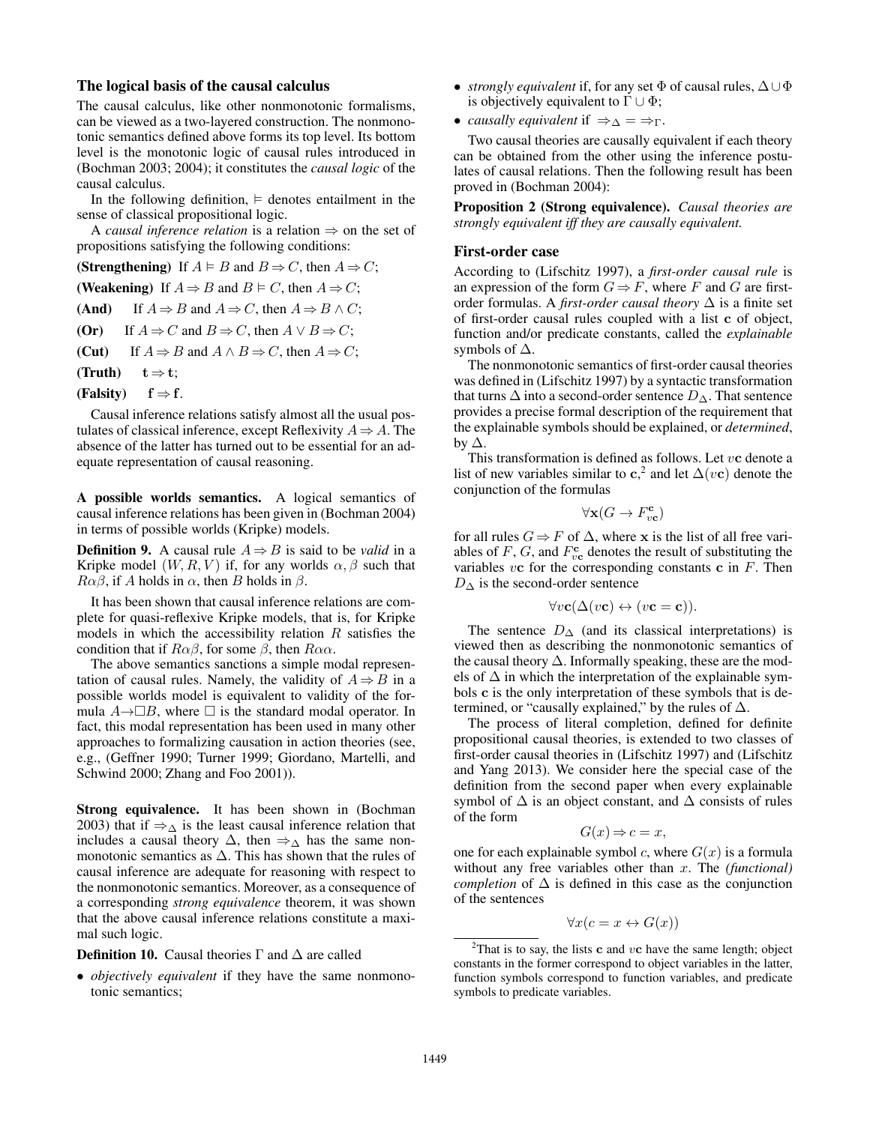# The logical basis of the causal calculus

The causal calculus, like other nonmonotonic formalisms, can be viewed as a two-layered construction. The nonmonotonic semantics defined above forms its top level. Its bottom level is the monotonic logic of causal rules introduced in (Bochman 2003; 2004); it constitutes the *causal logic* of the causal calculus.

In the following definition,  $\models$  denotes entailment in the sense of classical propositional logic.

A *causal inference relation* is a relation  $\Rightarrow$  on the set of propositions satisfying the following conditions:

(Strengthening) If  $A \models B$  and  $B \Rightarrow C$ , then  $A \Rightarrow C$ ;

(Weakening) If  $A \Rightarrow B$  and  $B \models C$ , then  $A \Rightarrow C$ ;

(And) If  $A \Rightarrow B$  and  $A \Rightarrow C$ , then  $A \Rightarrow B \land C$ ;

- (Or) If  $A \Rightarrow C$  and  $B \Rightarrow C$ , then  $A \lor B \Rightarrow C$ ;
- (Cut) If  $A \Rightarrow B$  and  $A \land B \Rightarrow C$ , then  $A \Rightarrow C$ ;
- (Truth)  $t \Rightarrow t$ ;
- (Falsity)  $f \Rightarrow f$ .

Causal inference relations satisfy almost all the usual postulates of classical inference, except Reflexivity  $A \Rightarrow A$ . The absence of the latter has turned out to be essential for an adequate representation of causal reasoning.

A possible worlds semantics. A logical semantics of causal inference relations has been given in (Bochman 2004) in terms of possible worlds (Kripke) models.

**Definition 9.** A causal rule  $A \Rightarrow B$  is said to be *valid* in a Kripke model  $(W, R, V)$  if, for any worlds  $\alpha, \beta$  such that  $R\alpha\beta$ , if A holds in  $\alpha$ , then B holds in  $\beta$ .

It has been shown that causal inference relations are complete for quasi-reflexive Kripke models, that is, for Kripke models in which the accessibility relation  $R$  satisfies the condition that if  $R\alpha\beta$ , for some  $\beta$ , then  $R\alpha\alpha$ .

The above semantics sanctions a simple modal representation of causal rules. Namely, the validity of  $A \Rightarrow B$  in a possible worlds model is equivalent to validity of the formula  $A \rightarrow \Box B$ , where  $\Box$  is the standard modal operator. In fact, this modal representation has been used in many other approaches to formalizing causation in action theories (see, e.g., (Geffner 1990; Turner 1999; Giordano, Martelli, and Schwind 2000; Zhang and Foo 2001)).

Strong equivalence. It has been shown in (Bochman 2003) that if  $\Rightarrow_{\Delta}$  is the least causal inference relation that includes a causal theory  $\Delta$ , then  $\Rightarrow_{\Delta}$  has the same nonmonotonic semantics as  $\Delta$ . This has shown that the rules of causal inference are adequate for reasoning with respect to the nonmonotonic semantics. Moreover, as a consequence of a corresponding *strong equivalence* theorem, it was shown that the above causal inference relations constitute a maximal such logic.

**Definition 10.** Causal theories  $\Gamma$  and  $\Delta$  are called

• *objectively equivalent* if they have the same nonmonotonic semantics;

- *strongly equivalent* if, for any set Φ of causal rules, ∆∪Φ is objectively equivalent to  $\Gamma \cup \Phi$ ;
- *causally equivalent* if  $\Rightarrow_{\Delta} = \Rightarrow_{\Gamma}$ .

Two causal theories are causally equivalent if each theory can be obtained from the other using the inference postulates of causal relations. Then the following result has been proved in (Bochman 2004):

Proposition 2 (Strong equivalence). *Causal theories are strongly equivalent iff they are causally equivalent.*

#### First-order case

According to (Lifschitz 1997), a *first-order causal rule* is an expression of the form  $G \Rightarrow F$ , where F and G are firstorder formulas. A *first-order causal theory* ∆ is a finite set of first-order causal rules coupled with a list c of object, function and/or predicate constants, called the *explainable* symbols of  $\Delta$ .

The nonmonotonic semantics of first-order causal theories was defined in (Lifschitz 1997) by a syntactic transformation that turns  $\Delta$  into a second-order sentence  $D_{\Delta}$ . That sentence provides a precise formal description of the requirement that the explainable symbols should be explained, or *determined*, by  $\Delta$ .

This transformation is defined as follows. Let  $vc$  denote a list of new variables similar to  $c^2$ , and let  $\Delta(vc)$  denote the conjunction of the formulas

$$
\forall \mathbf{x} (G \to F_{v\mathbf{c}}^{\mathbf{c}})
$$

for all rules  $G \Rightarrow F$  of  $\Delta$ , where x is the list of all free variables of F, G, and  $F_{\text{ve}}^{\text{c}}$  denotes the result of substituting the variables  $vc$  for the corresponding constants  $c$  in  $F$ . Then  $D_{\Delta}$  is the second-order sentence

$$
\forall v \mathbf{c} (\Delta(v\mathbf{c}) \leftrightarrow (v\mathbf{c} = \mathbf{c})).
$$

The sentence  $D_{\Delta}$  (and its classical interpretations) is viewed then as describing the nonmonotonic semantics of the causal theory  $\Delta$ . Informally speaking, these are the models of  $\Delta$  in which the interpretation of the explainable symbols c is the only interpretation of these symbols that is determined, or "causally explained," by the rules of  $\Delta$ .

The process of literal completion, defined for definite propositional causal theories, is extended to two classes of first-order causal theories in (Lifschitz 1997) and (Lifschitz and Yang 2013). We consider here the special case of the definition from the second paper when every explainable symbol of  $\Delta$  is an object constant, and  $\Delta$  consists of rules of the form

$$
G(x) \Rightarrow c = x,
$$

one for each explainable symbol c, where  $G(x)$  is a formula without any free variables other than x. The *(functional) completion* of  $\Delta$  is defined in this case as the conjunction of the sentences

$$
\forall x (c = x \leftrightarrow G(x))
$$

<sup>&</sup>lt;sup>2</sup>That is to say, the lists **c** and  $v$ **c** have the same length; object constants in the former correspond to object variables in the latter, function symbols correspond to function variables, and predicate symbols to predicate variables.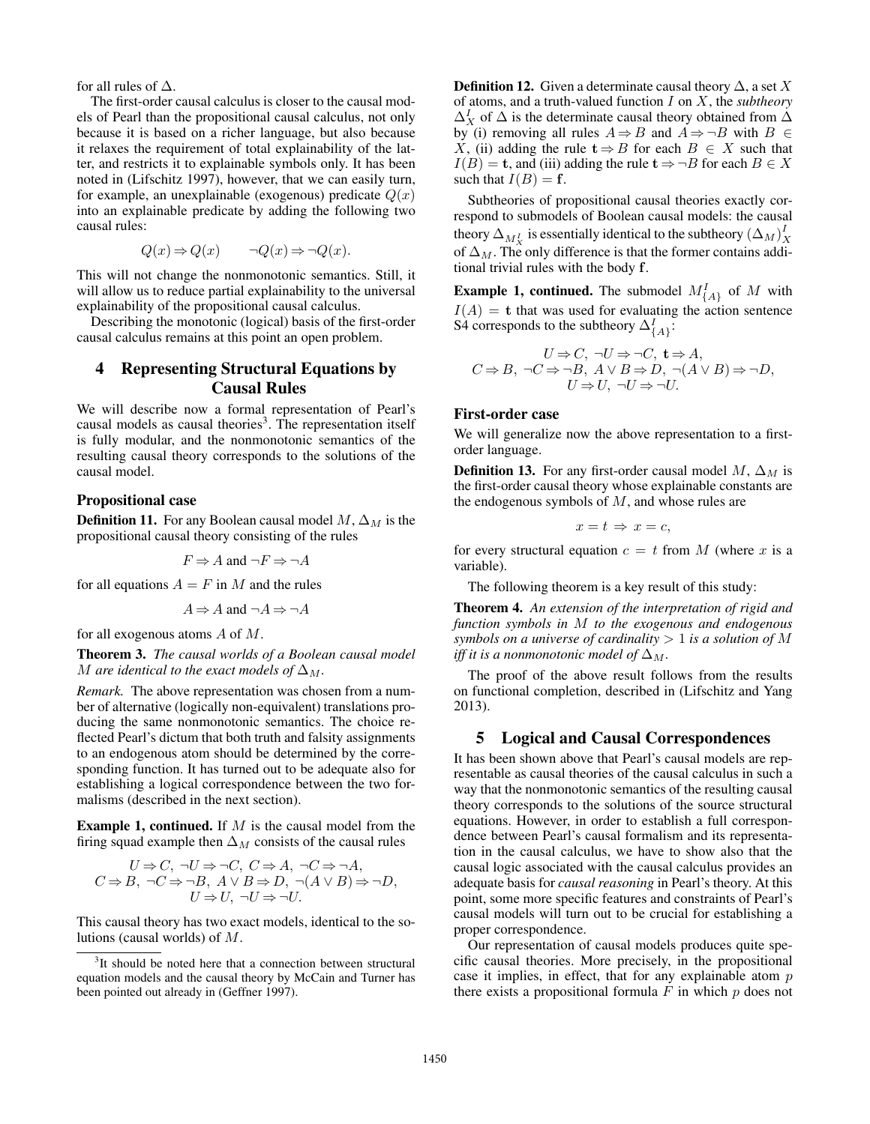for all rules of ∆.

The first-order causal calculus is closer to the causal models of Pearl than the propositional causal calculus, not only because it is based on a richer language, but also because it relaxes the requirement of total explainability of the latter, and restricts it to explainable symbols only. It has been noted in (Lifschitz 1997), however, that we can easily turn, for example, an unexplainable (exogenous) predicate  $Q(x)$ into an explainable predicate by adding the following two causal rules:

$$
Q(x) \Rightarrow Q(x) \qquad \neg Q(x) \Rightarrow \neg Q(x).
$$

This will not change the nonmonotonic semantics. Still, it will allow us to reduce partial explainability to the universal explainability of the propositional causal calculus.

Describing the monotonic (logical) basis of the first-order causal calculus remains at this point an open problem.

# 4 Representing Structural Equations by Causal Rules

We will describe now a formal representation of Pearl's causal models as causal theories<sup>3</sup>. The representation itself is fully modular, and the nonmonotonic semantics of the resulting causal theory corresponds to the solutions of the causal model.

### Propositional case

**Definition 11.** For any Boolean causal model  $M$ ,  $\Delta_M$  is the propositional causal theory consisting of the rules

$$
F \Rightarrow A
$$
 and  $\neg F \Rightarrow \neg A$ 

for all equations  $A = F$  in M and the rules

$$
A \Rightarrow A \text{ and } \neg A \Rightarrow \neg A
$$

for all exogenous atoms A of M.

Theorem 3. *The causal worlds of a Boolean causal model* M are identical to the exact models of  $\Delta_M$ .

*Remark.* The above representation was chosen from a number of alternative (logically non-equivalent) translations producing the same nonmonotonic semantics. The choice reflected Pearl's dictum that both truth and falsity assignments to an endogenous atom should be determined by the corresponding function. It has turned out to be adequate also for establishing a logical correspondence between the two formalisms (described in the next section).

**Example 1, continued.** If  $M$  is the causal model from the firing squad example then  $\Delta_M$  consists of the causal rules

$$
U \Rightarrow C, \neg U \Rightarrow \neg C, C \Rightarrow A, \neg C \Rightarrow \neg A,
$$
  

$$
C \Rightarrow B, \neg C \Rightarrow \neg B, A \lor B \Rightarrow D, \neg (A \lor B) \Rightarrow \neg D,
$$
  

$$
U \Rightarrow U, \neg U \Rightarrow \neg U.
$$

This causal theory has two exact models, identical to the solutions (causal worlds) of M.

<sup>3</sup>It should be noted here that a connection between structural equation models and the causal theory by McCain and Turner has been pointed out already in (Geffner 1997).

**Definition 12.** Given a determinate causal theory  $\Delta$ , a set X of atoms, and a truth-valued function I on X, the *subtheory*  $\Delta_X^I$  of  $\Delta$  is the determinate causal theory obtained from  $\Delta$ by (i) removing all rules  $A \Rightarrow B$  and  $A \Rightarrow \neg B$  with  $B \in$ X, (ii) adding the rule  $t \Rightarrow B$  for each  $B \in X$  such that  $I(B) =$  **t**, and (iii) adding the rule **t**  $\Rightarrow \neg B$  for each  $B \in X$ such that  $I(B) = \mathbf{f}$ .

Subtheories of propositional causal theories exactly correspond to submodels of Boolean causal models: the causal theory  $\Delta_{M_X^I}$  is essentially identical to the subtheory  $(\Delta_M)^I_X$ of  $\Delta_M$ . The only difference is that the former contains additional trivial rules with the body f.

**Example 1, continued.** The submodel  $M_{\{A\}}^I$  of M with  $I(A) =$ **t** that was used for evaluating the action sentence S4 corresponds to the subtheory  $\Delta_{\{A\}}^I$ :

$$
U \Rightarrow C, \neg U \Rightarrow \neg C, \mathbf{t} \Rightarrow A,
$$
  

$$
C \Rightarrow B, \neg C \Rightarrow \neg B, A \lor B \Rightarrow D, \neg (A \lor B) \Rightarrow \neg D,
$$
  

$$
U \Rightarrow U, \neg U \Rightarrow \neg U.
$$

### First-order case

We will generalize now the above representation to a firstorder language.

**Definition 13.** For any first-order causal model M,  $\Delta_M$  is the first-order causal theory whose explainable constants are the endogenous symbols of  $M$ , and whose rules are

$$
x = t \Rightarrow x = c,
$$

for every structural equation  $c = t$  from M (where x is a variable).

The following theorem is a key result of this study:

Theorem 4. *An extension of the interpretation of rigid and function symbols in* M *to the exogenous and endogenous symbols on a universe of cardinality* > 1 *is a solution of* M *iff it is a nonmonotonic model of*  $\Delta_M$ .

The proof of the above result follows from the results on functional completion, described in (Lifschitz and Yang 2013).

### 5 Logical and Causal Correspondences

It has been shown above that Pearl's causal models are representable as causal theories of the causal calculus in such a way that the nonmonotonic semantics of the resulting causal theory corresponds to the solutions of the source structural equations. However, in order to establish a full correspondence between Pearl's causal formalism and its representation in the causal calculus, we have to show also that the causal logic associated with the causal calculus provides an adequate basis for *causal reasoning* in Pearl's theory. At this point, some more specific features and constraints of Pearl's causal models will turn out to be crucial for establishing a proper correspondence.

Our representation of causal models produces quite specific causal theories. More precisely, in the propositional case it implies, in effect, that for any explainable atom  $p$ there exists a propositional formula  $F$  in which  $p$  does not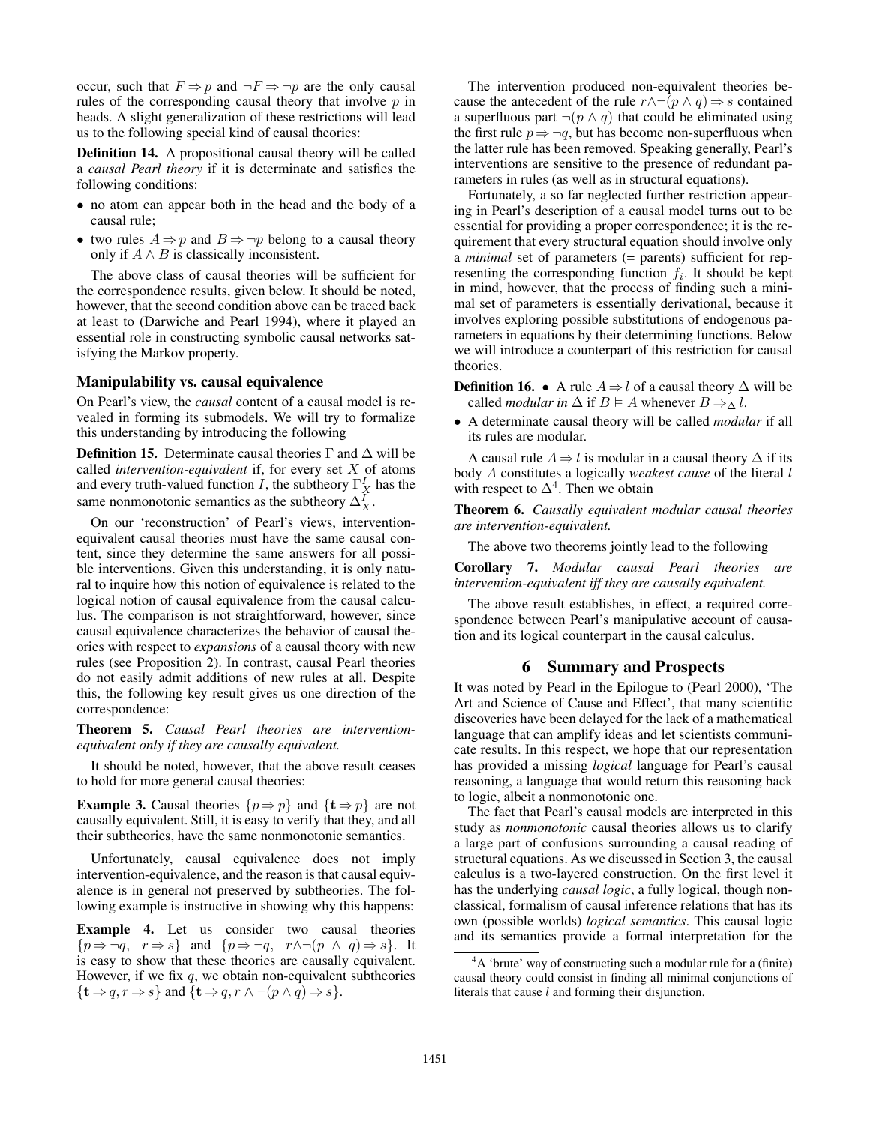occur, such that  $F \Rightarrow p$  and  $\neg F \Rightarrow \neg p$  are the only causal rules of the corresponding causal theory that involve  $p$  in heads. A slight generalization of these restrictions will lead us to the following special kind of causal theories:

Definition 14. A propositional causal theory will be called a *causal Pearl theory* if it is determinate and satisfies the following conditions:

- no atom can appear both in the head and the body of a causal rule;
- two rules  $A \Rightarrow p$  and  $B \Rightarrow \neg p$  belong to a causal theory only if  $A \wedge B$  is classically inconsistent.

The above class of causal theories will be sufficient for the correspondence results, given below. It should be noted, however, that the second condition above can be traced back at least to (Darwiche and Pearl 1994), where it played an essential role in constructing symbolic causal networks satisfying the Markov property.

#### Manipulability vs. causal equivalence

On Pearl's view, the *causal* content of a causal model is revealed in forming its submodels. We will try to formalize this understanding by introducing the following

**Definition 15.** Determinate causal theories  $\Gamma$  and  $\Delta$  will be called *intervention-equivalent* if, for every set X of atoms and every truth-valued function I, the subtheory  $\Gamma_X^I$  has the same nonmonotonic semantics as the subtheory  $\Delta_X^I$ .

On our 'reconstruction' of Pearl's views, interventionequivalent causal theories must have the same causal content, since they determine the same answers for all possible interventions. Given this understanding, it is only natural to inquire how this notion of equivalence is related to the logical notion of causal equivalence from the causal calculus. The comparison is not straightforward, however, since causal equivalence characterizes the behavior of causal theories with respect to *expansions* of a causal theory with new rules (see Proposition 2). In contrast, causal Pearl theories do not easily admit additions of new rules at all. Despite this, the following key result gives us one direction of the correspondence:

Theorem 5. *Causal Pearl theories are interventionequivalent only if they are causally equivalent.*

It should be noted, however, that the above result ceases to hold for more general causal theories:

**Example 3.** Causal theories  $\{p \Rightarrow p\}$  and  $\{\mathbf{t} \Rightarrow p\}$  are not causally equivalent. Still, it is easy to verify that they, and all their subtheories, have the same nonmonotonic semantics.

Unfortunately, causal equivalence does not imply intervention-equivalence, and the reason is that causal equivalence is in general not preserved by subtheories. The following example is instructive in showing why this happens:

Example 4. Let us consider two causal theories  $\{p \Rightarrow \neg q, \ r \Rightarrow s\}$  and  $\{p \Rightarrow \neg q, \ r \land \neg (p \land q) \Rightarrow s\}.$  It is easy to show that these theories are causally equivalent. However, if we fix  $q$ , we obtain non-equivalent subtheories  $\{\mathbf t \Rightarrow q, r \Rightarrow s\}$  and  $\{\mathbf t \Rightarrow q, r \wedge \neg (p \wedge q) \Rightarrow s\}.$ 

The intervention produced non-equivalent theories because the antecedent of the rule  $r \wedge \neg (p \wedge q) \Rightarrow s$  contained a superfluous part  $\neg(p \land q)$  that could be eliminated using the first rule  $p \Rightarrow \neg q$ , but has become non-superfluous when the latter rule has been removed. Speaking generally, Pearl's interventions are sensitive to the presence of redundant parameters in rules (as well as in structural equations).

Fortunately, a so far neglected further restriction appearing in Pearl's description of a causal model turns out to be essential for providing a proper correspondence; it is the requirement that every structural equation should involve only a *minimal* set of parameters (= parents) sufficient for representing the corresponding function  $f_i$ . It should be kept in mind, however, that the process of finding such a minimal set of parameters is essentially derivational, because it involves exploring possible substitutions of endogenous parameters in equations by their determining functions. Below we will introduce a counterpart of this restriction for causal theories.

**Definition 16.** • A rule  $A \Rightarrow l$  of a causal theory  $\Delta$  will be called *modular in*  $\Delta$  if  $B \models A$  whenever  $B \Rightarrow_{\Delta} l$ .

• A determinate causal theory will be called *modular* if all its rules are modular.

A causal rule  $A \Rightarrow l$  is modular in a causal theory  $\Delta$  if its body A constitutes a logically *weakest cause* of the literal l with respect to  $\Delta^4$ . Then we obtain

Theorem 6. *Causally equivalent modular causal theories are intervention-equivalent.*

The above two theorems jointly lead to the following

Corollary 7. *Modular causal Pearl theories are intervention-equivalent iff they are causally equivalent.*

The above result establishes, in effect, a required correspondence between Pearl's manipulative account of causation and its logical counterpart in the causal calculus.

#### 6 Summary and Prospects

It was noted by Pearl in the Epilogue to (Pearl 2000), 'The Art and Science of Cause and Effect', that many scientific discoveries have been delayed for the lack of a mathematical language that can amplify ideas and let scientists communicate results. In this respect, we hope that our representation has provided a missing *logical* language for Pearl's causal reasoning, a language that would return this reasoning back to logic, albeit a nonmonotonic one.

The fact that Pearl's causal models are interpreted in this study as *nonmonotonic* causal theories allows us to clarify a large part of confusions surrounding a causal reading of structural equations. As we discussed in Section 3, the causal calculus is a two-layered construction. On the first level it has the underlying *causal logic*, a fully logical, though nonclassical, formalism of causal inference relations that has its own (possible worlds) *logical semantics*. This causal logic and its semantics provide a formal interpretation for the

 ${}^{4}A$  'brute' way of constructing such a modular rule for a (finite) causal theory could consist in finding all minimal conjunctions of literals that cause l and forming their disjunction.